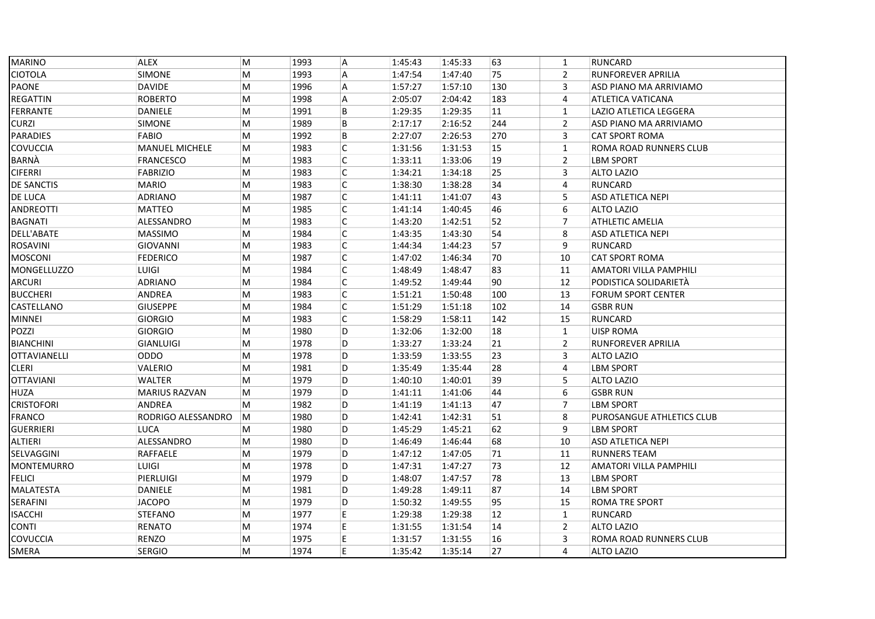| <b>MARINO</b>       | <b>ALEX</b>           | M         | 1993 | A              | 1:45:43 | 1:45:33 | 63  | $\mathbf{1}$   | <b>RUNCARD</b>            |
|---------------------|-----------------------|-----------|------|----------------|---------|---------|-----|----------------|---------------------------|
| <b>CIOTOLA</b>      | <b>SIMONE</b>         | M         | 1993 | A              | 1:47:54 | 1:47:40 | 75  | $\overline{2}$ | RUNFOREVER APRILIA        |
| <b>PAONE</b>        | <b>DAVIDE</b>         | M         | 1996 | A              | 1:57:27 | 1:57:10 | 130 | 3              | ASD PIANO MA ARRIVIAMO    |
| <b>REGATTIN</b>     | <b>ROBERTO</b>        | M         | 1998 | $\overline{A}$ | 2:05:07 | 2:04:42 | 183 | $\overline{4}$ | ATLETICA VATICANA         |
| FERRANTE            | DANIELE               | M         | 1991 | B              | 1:29:35 | 1:29:35 | 11  | $\mathbf{1}$   | LAZIO ATLETICA LEGGERA    |
| <b>CURZI</b>        | SIMONE                | M         | 1989 | B              | 2:17:17 | 2:16:52 | 244 | $\overline{2}$ | ASD PIANO MA ARRIVIAMO    |
| <b>PARADIES</b>     | FABIO                 | M         | 1992 | B              | 2:27:07 | 2:26:53 | 270 | 3              | <b>CAT SPORT ROMA</b>     |
| COVUCCIA            | <b>MANUEL MICHELE</b> | M         | 1983 | C              | 1:31:56 | 1:31:53 | 15  | $\mathbf{1}$   | ROMA ROAD RUNNERS CLUB    |
| BARNÀ               | <b>FRANCESCO</b>      | M         | 1983 | C              | 1:33:11 | 1:33:06 | 19  | $\overline{2}$ | <b>LBM SPORT</b>          |
| <b>CIFERRI</b>      | <b>FABRIZIO</b>       | M         | 1983 | C              | 1:34:21 | 1:34:18 | 25  | 3              | <b>ALTO LAZIO</b>         |
| DE SANCTIS          | <b>MARIO</b>          | M         | 1983 | C              | 1:38:30 | 1:38:28 | 34  | 4              | RUNCARD                   |
| DE LUCA             | ADRIANO               | M         | 1987 | $\mathsf{C}$   | 1:41:11 | 1:41:07 | 43  | 5              | <b>ASD ATLETICA NEPI</b>  |
| <b>ANDREOTTI</b>    | <b>MATTEO</b>         | M         | 1985 | $\mathsf{C}$   | 1:41:14 | 1:40:45 | 46  | 6              | <b>ALTO LAZIO</b>         |
| <b>BAGNATI</b>      | ALESSANDRO            | M         | 1983 | $\mathsf C$    | 1:43:20 | 1:42:51 | 52  | $\overline{7}$ | <b>ATHLETIC AMELIA</b>    |
| DELL'ABATE          | <b>MASSIMO</b>        | M         | 1984 | $\mathsf{C}$   | 1:43:35 | 1:43:30 | 54  | 8              | <b>ASD ATLETICA NEPI</b>  |
| <b>ROSAVINI</b>     | <b>GIOVANNI</b>       | M         | 1983 | C              | 1:44:34 | 1:44:23 | 57  | 9              | <b>RUNCARD</b>            |
| <b>MOSCONI</b>      | <b>FEDERICO</b>       | M         | 1987 | C              | 1:47:02 | 1:46:34 | 70  | 10             | <b>CAT SPORT ROMA</b>     |
| <b>MONGELLUZZO</b>  | LUIGI                 | M         | 1984 | $\mathsf C$    | 1:48:49 | 1:48:47 | 83  | 11             | AMATORI VILLA PAMPHILI    |
| <b>ARCURI</b>       | <b>ADRIANO</b>        | M         | 1984 | $\mathsf C$    | 1:49:52 | 1:49:44 | 90  | 12             | PODISTICA SOLIDARIETÀ     |
| <b>BUCCHERI</b>     | ANDREA                | M         | 1983 | C              | 1:51:21 | 1:50:48 | 100 | 13             | <b>FORUM SPORT CENTER</b> |
| CASTELLANO          | <b>GIUSEPPE</b>       | M         | 1984 | $\mathsf{C}$   | 1:51:29 | 1:51:18 | 102 | 14             | <b>GSBR RUN</b>           |
| <b>MINNEI</b>       | <b>GIORGIO</b>        | M         | 1983 | $\mathsf C$    | 1:58:29 | 1:58:11 | 142 | 15             | RUNCARD                   |
| POZZI               | <b>GIORGIO</b>        | M         | 1980 | D              | 1:32:06 | 1:32:00 | 18  | $\mathbf{1}$   | <b>UISP ROMA</b>          |
| <b>BIANCHINI</b>    | <b>GIANLUIGI</b>      | M         | 1978 | D              | 1:33:27 | 1:33:24 | 21  | $\overline{2}$ | RUNFOREVER APRILIA        |
| <b>OTTAVIANELLI</b> | ODDO                  | M         | 1978 | D              | 1:33:59 | 1:33:55 | 23  | 3              | <b>ALTO LAZIO</b>         |
| <b>CLERI</b>        | VALERIO               | M         | 1981 | D              | 1:35:49 | 1:35:44 | 28  | $\overline{4}$ | <b>LBM SPORT</b>          |
| <b>OTTAVIANI</b>    | WALTER                | M         | 1979 | D              | 1:40:10 | 1:40:01 | 39  | 5              | <b>ALTO LAZIO</b>         |
| HUZA                | <b>MARIUS RAZVAN</b>  | M         | 1979 | D              | 1:41:11 | 1:41:06 | 44  | 6              | <b>GSBR RUN</b>           |
| <b>CRISTOFORI</b>   | ANDREA                | M         | 1982 | D              | 1:41:19 | 1:41:13 | 47  | $\overline{7}$ | <b>LBM SPORT</b>          |
| <b>FRANCO</b>       | RODRIGO ALESSANDRO    | M         | 1980 | D              | 1:42:41 | 1:42:31 | 51  | 8              | PUROSANGUE ATHLETICS CLUB |
| <b>GUERRIERI</b>    | <b>LUCA</b>           | M         | 1980 | D              | 1:45:29 | 1:45:21 | 62  | 9              | <b>LBM SPORT</b>          |
| ALTIERI             | ALESSANDRO            | M         | 1980 | D              | 1:46:49 | 1:46:44 | 68  | 10             | ASD ATLETICA NEPI         |
| SELVAGGINI          | RAFFAELE              | M         | 1979 | D              | 1:47:12 | 1:47:05 | 71  | 11             | <b>RUNNERS TEAM</b>       |
| <b>MONTEMURRO</b>   | LUIGI                 | M         | 1978 | D              | 1:47:31 | 1:47:27 | 73  | 12             | AMATORI VILLA PAMPHILI    |
| <b>FELICI</b>       | PIERLUIGI             | ${\sf M}$ | 1979 | D              | 1:48:07 | 1:47:57 | 78  | 13             | <b>LBM SPORT</b>          |
| MALATESTA           | DANIELE               | M         | 1981 | D              | 1:49:28 | 1:49:11 | 87  | 14             | <b>LBM SPORT</b>          |
| SERAFINI            | <b>JACOPO</b>         | M         | 1979 | D              | 1:50:32 | 1:49:55 | 95  | 15             | ROMA TRE SPORT            |
| <b>ISACCHI</b>      | <b>STEFANO</b>        | M         | 1977 | E              | 1:29:38 | 1:29:38 | 12  | $\mathbf{1}$   | <b>RUNCARD</b>            |
| <b>CONTI</b>        | RENATO                | M         | 1974 | E              | 1:31:55 | 1:31:54 | 14  | $\overline{2}$ | <b>ALTO LAZIO</b>         |
| COVUCCIA            | RENZO                 | M         | 1975 | E              | 1:31:57 | 1:31:55 | 16  | 3              | ROMA ROAD RUNNERS CLUB    |
| SMERA               | <b>SERGIO</b>         | M         | 1974 | E              | 1:35:42 | 1:35:14 | 27  | 4              | <b>ALTO LAZIO</b>         |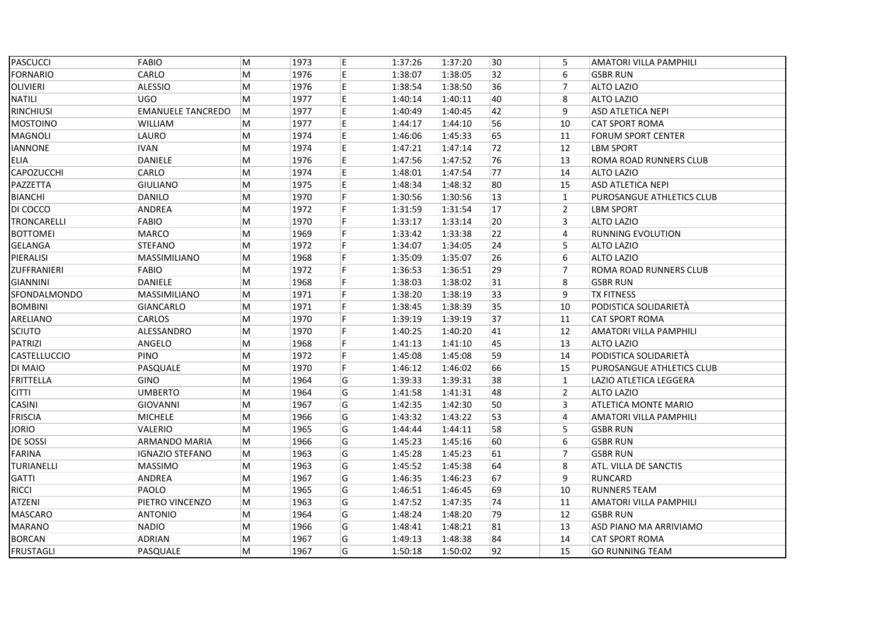| <b>PASCUCCI</b>  | FABIO                    | M | 1973 | E. | 1:37:26 | 1:37:20 | 30 | 5              | AMATORI VILLA PAMPHILI    |
|------------------|--------------------------|---|------|----|---------|---------|----|----------------|---------------------------|
| <b>FORNARIO</b>  | CARLO                    | M | 1976 | E. | 1:38:07 | 1:38:05 | 32 | 6              | <b>GSBR RUN</b>           |
| <b>OLIVIERI</b>  | <b>ALESSIO</b>           | M | 1976 | E  | 1:38:54 | 1:38:50 | 36 | $\overline{7}$ | <b>ALTO LAZIO</b>         |
| <b>NATILI</b>    | <b>UGO</b>               | M | 1977 | E  | 1:40:14 | 1:40:11 | 40 | 8              | <b>ALTO LAZIO</b>         |
| <b>RINCHIUSI</b> | <b>EMANUELE TANCREDO</b> | M | 1977 | E  | 1:40:49 | 1:40:45 | 42 | 9              | ASD ATLETICA NEPI         |
| <b>MOSTOINO</b>  | <b>WILLIAM</b>           | M | 1977 | E  | 1:44:17 | 1:44:10 | 56 | 10             | <b>CAT SPORT ROMA</b>     |
| <b>MAGNOLI</b>   | LAURO                    | M | 1974 | E  | 1:46:06 | 1:45:33 | 65 | 11             | <b>FORUM SPORT CENTER</b> |
| <b>IANNONE</b>   | <b>IVAN</b>              | M | 1974 | E  | 1:47:21 | 1:47:14 | 72 | 12             | <b>LBM SPORT</b>          |
| <b>ELIA</b>      | DANIELE                  | M | 1976 | E  | 1:47:56 | 1:47:52 | 76 | 13             | ROMA ROAD RUNNERS CLUB    |
| CAPOZUCCHI       | CARLO                    | M | 1974 | E  | 1:48:01 | 1:47:54 | 77 | 14             | <b>ALTO LAZIO</b>         |
| PAZZETTA         | <b>GIULIANO</b>          | M | 1975 | E  | 1:48:34 | 1:48:32 | 80 | 15             | ASD ATLETICA NEPI         |
| <b>BIANCHI</b>   | <b>DANILO</b>            | M | 1970 | F. | 1:30:56 | 1:30:56 | 13 | $\mathbf{1}$   | PUROSANGUE ATHLETICS CLUB |
| DI COCCO         | ANDREA                   | M | 1972 | F. | 1:31:59 | 1:31:54 | 17 | $\overline{2}$ | <b>LBM SPORT</b>          |
| TRONCARELLI      | FABIO                    | M | 1970 | F  | 1:33:17 | 1:33:14 | 20 | 3              | <b>ALTO LAZIO</b>         |
| <b>BOTTOMEI</b>  | <b>MARCO</b>             | M | 1969 | F. | 1:33:42 | 1:33:38 | 22 | 4              | <b>RUNNING EVOLUTION</b>  |
| <b>GELANGA</b>   | <b>STEFANO</b>           | M | 1972 | F. | 1:34:07 | 1:34:05 | 24 | 5              | ALTO LAZIO                |
| PIERALISI        | MASSIMILIANO             | M | 1968 | F. | 1:35:09 | 1:35:07 | 26 | 6              | <b>ALTO LAZIO</b>         |
| ZUFFRANIERI      | FABIO                    | M | 1972 | F. | 1:36:53 | 1:36:51 | 29 | $\overline{7}$ | ROMA ROAD RUNNERS CLUB    |
| <b>GIANNINI</b>  | <b>DANIELE</b>           | M | 1968 | F. | 1:38:03 | 1:38:02 | 31 | 8              | <b>GSBR RUN</b>           |
| SFONDALMONDO     | MASSIMILIANO             | M | 1971 | F. | 1:38:20 | 1:38:19 | 33 | 9              | <b>TX FITNESS</b>         |
| <b>BOMBINI</b>   | <b>GIANCARLO</b>         | M | 1971 | F. | 1:38:45 | 1:38:39 | 35 | 10             | PODISTICA SOLIDARIETÀ     |
| ARELIANO         | CARLOS                   | M | 1970 | F. | 1:39:19 | 1:39:19 | 37 | 11             | <b>CAT SPORT ROMA</b>     |
| <b>SCIUTO</b>    | ALESSANDRO               | M | 1970 | F. | 1:40:25 | 1:40:20 | 41 | 12             | AMATORI VILLA PAMPHILI    |
| <b>PATRIZI</b>   | ANGELO                   | M | 1968 | F  | 1:41:13 | 1:41:10 | 45 | 13             | <b>ALTO LAZIO</b>         |
| CASTELLUCCIO     | <b>PINO</b>              | M | 1972 | F  | 1:45:08 | 1:45:08 | 59 | 14             | PODISTICA SOLIDARIETÀ     |
| DI MAIO          | PASQUALE                 | M | 1970 | F. | 1:46:12 | 1:46:02 | 66 | 15             | PUROSANGUE ATHLETICS CLUB |
| <b>FRITTELLA</b> | <b>GINO</b>              | M | 1964 | G  | 1:39:33 | 1:39:31 | 38 | $\mathbf{1}$   | LAZIO ATLETICA LEGGERA    |
| <b>CITTI</b>     | <b>UMBERTO</b>           | M | 1964 | G  | 1:41:58 | 1:41:31 | 48 | $\overline{2}$ | <b>ALTO LAZIO</b>         |
| CASINI           | <b>GIOVANNI</b>          | M | 1967 | G  | 1:42:35 | 1:42:30 | 50 | 3              | ATLETICA MONTE MARIO      |
| <b>FRISCIA</b>   | <b>MICHELE</b>           | M | 1966 | G  | 1:43:32 | 1:43:22 | 53 | 4              | AMATORI VILLA PAMPHILI    |
| <b>JORIO</b>     | VALERIO                  | M | 1965 | G  | 1:44:44 | 1:44:11 | 58 | 5              | <b>GSBR RUN</b>           |
| DE SOSSI         | ARMANDO MARIA            | M | 1966 | G  | 1:45:23 | 1:45:16 | 60 | 6              | <b>GSBR RUN</b>           |
| <b>FARINA</b>    | <b>IGNAZIO STEFANO</b>   | M | 1963 | G  | 1:45:28 | 1:45:23 | 61 | $\overline{7}$ | <b>GSBR RUN</b>           |
| TURIANELLI       | <b>MASSIMO</b>           | M | 1963 | G  | 1:45:52 | 1:45:38 | 64 | 8              | ATL. VILLA DE SANCTIS     |
| <b>GATTI</b>     | ANDREA                   | M | 1967 | G  | 1:46:35 | 1:46:23 | 67 | 9              | <b>RUNCARD</b>            |
| <b>RICCI</b>     | PAOLO                    | M | 1965 | G  | 1:46:51 | 1:46:45 | 69 | 10             | <b>RUNNERS TEAM</b>       |
| <b>ATZENI</b>    | PIETRO VINCENZO          | M | 1963 | G  | 1:47:52 | 1:47:35 | 74 | 11             | AMATORI VILLA PAMPHILI    |
| <b>MASCARO</b>   | <b>ANTONIO</b>           | M | 1964 | G  | 1:48:24 | 1:48:20 | 79 | 12             | <b>GSBR RUN</b>           |
| <b>MARANO</b>    | <b>NADIO</b>             | M | 1966 | G  | 1:48:41 | 1:48:21 | 81 | 13             | ASD PIANO MA ARRIVIAMO    |
| <b>BORCAN</b>    | ADRIAN                   | M | 1967 | G  | 1:49:13 | 1:48:38 | 84 | 14             | CAT SPORT ROMA            |
| <b>FRUSTAGLI</b> | PASQUALE                 | M | 1967 | G  | 1:50:18 | 1:50:02 | 92 | 15             | <b>GO RUNNING TEAM</b>    |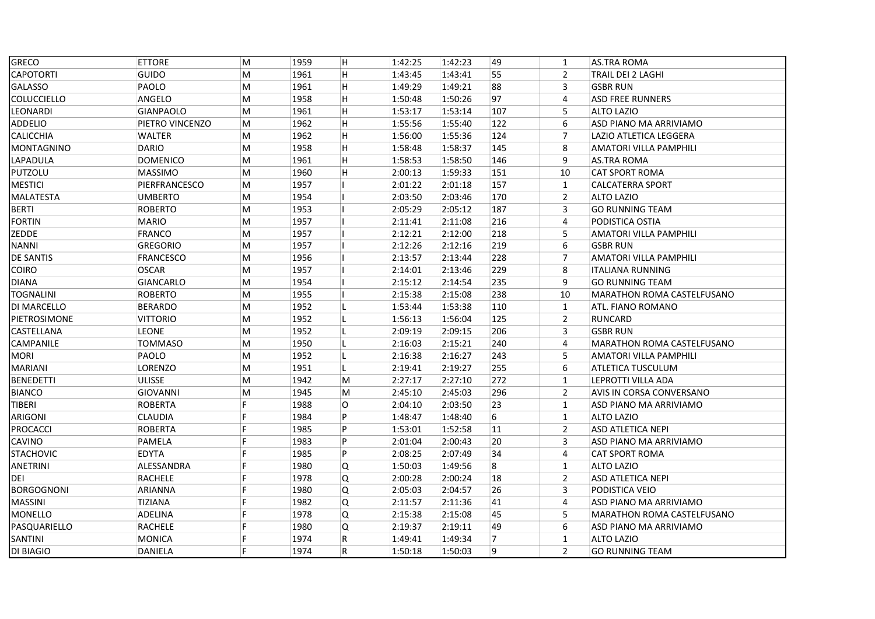| GRECO              | <b>ETTORE</b>    | M         | 1959 | H           | 1:42:25 | 1:42:23 | 49  | $\mathbf{1}$   | <b>AS.TRA ROMA</b>                |
|--------------------|------------------|-----------|------|-------------|---------|---------|-----|----------------|-----------------------------------|
| <b>CAPOTORTI</b>   | GUIDO            | M         | 1961 | H           | 1:43:45 | 1:43:41 | 55  | $\overline{2}$ | TRAIL DEI 2 LAGHI                 |
| GALASSO            | PAOLO            | M         | 1961 | H           | 1:49:29 | 1:49:21 | 88  | 3              | <b>GSBR RUN</b>                   |
| <b>COLUCCIELLO</b> | ANGELO           | M         | 1958 | H           | 1:50:48 | 1:50:26 | 97  | 4              | <b>ASD FREE RUNNERS</b>           |
| <b>LEONARDI</b>    | <b>GIANPAOLO</b> | M         | 1961 | H           | 1:53:17 | 1:53:14 | 107 | 5              | <b>ALTO LAZIO</b>                 |
| <b>ADDELIO</b>     | PIETRO VINCENZO  | M         | 1962 | H           | 1:55:56 | 1:55:40 | 122 | 6              | ASD PIANO MA ARRIVIAMO            |
| CALICCHIA          | WALTER           | M         | 1962 | H           | 1:56:00 | 1:55:36 | 124 | $\overline{7}$ | LAZIO ATLETICA LEGGERA            |
| <b>MONTAGNINO</b>  | <b>DARIO</b>     | M         | 1958 | H           | 1:58:48 | 1:58:37 | 145 | 8              | AMATORI VILLA PAMPHILI            |
| LAPADULA           | <b>DOMENICO</b>  | M         | 1961 | H           | 1:58:53 | 1:58:50 | 146 | 9              | <b>AS.TRA ROMA</b>                |
| PUTZOLU            | <b>MASSIMO</b>   | M         | 1960 | H           | 2:00:13 | 1:59:33 | 151 | 10             | <b>CAT SPORT ROMA</b>             |
| <b>MESTICI</b>     | PIERFRANCESCO    | M         | 1957 |             | 2:01:22 | 2:01:18 | 157 | $\mathbf{1}$   | <b>CALCATERRA SPORT</b>           |
| MALATESTA          | <b>UMBERTO</b>   | M         | 1954 |             | 2:03:50 | 2:03:46 | 170 | $\overline{2}$ | <b>ALTO LAZIO</b>                 |
| <b>BERTI</b>       | <b>ROBERTO</b>   | M         | 1953 |             | 2:05:29 | 2:05:12 | 187 | 3              | <b>GO RUNNING TEAM</b>            |
| <b>FORTIN</b>      | <b>MARIO</b>     | ${\sf M}$ | 1957 |             | 2:11:41 | 2:11:08 | 216 | 4              | PODISTICA OSTIA                   |
| ZEDDE              | <b>FRANCO</b>    | M         | 1957 |             | 2:12:21 | 2:12:00 | 218 | 5              | <b>AMATORI VILLA PAMPHILI</b>     |
| <b>NANNI</b>       | <b>GREGORIO</b>  | M         | 1957 |             | 2:12:26 | 2:12:16 | 219 | 6              | <b>GSBR RUN</b>                   |
| <b>DE SANTIS</b>   | <b>FRANCESCO</b> | M         | 1956 |             | 2:13:57 | 2:13:44 | 228 | $\overline{7}$ | AMATORI VILLA PAMPHILI            |
| <b>COIRO</b>       | OSCAR            | M         | 1957 |             | 2:14:01 | 2:13:46 | 229 | 8              | <b>ITALIANA RUNNING</b>           |
| <b>DIANA</b>       | GIANCARLO        | M         | 1954 |             | 2:15:12 | 2:14:54 | 235 | 9              | <b>GO RUNNING TEAM</b>            |
| <b>TOGNALINI</b>   | <b>ROBERTO</b>   | M         | 1955 |             | 2:15:38 | 2:15:08 | 238 | 10             | MARATHON ROMA CASTELFUSANO        |
| DI MARCELLO        | <b>BERARDO</b>   | M         | 1952 | L           | 1:53:44 | 1:53:38 | 110 | $\mathbf{1}$   | ATL. FIANO ROMANO                 |
| PIETROSIMONE       | <b>VITTORIO</b>  | M         | 1952 | L           | 1:56:13 | 1:56:04 | 125 | $\overline{2}$ | RUNCARD                           |
| CASTELLANA         | <b>LEONE</b>     | M         | 1952 | L           | 2:09:19 | 2:09:15 | 206 | 3              | <b>GSBR RUN</b>                   |
| CAMPANILE          | <b>TOMMASO</b>   | M         | 1950 | L           | 2:16:03 | 2:15:21 | 240 | 4              | <b>MARATHON ROMA CASTELFUSANO</b> |
| <b>MORI</b>        | PAOLO            | M         | 1952 | L           | 2:16:38 | 2:16:27 | 243 | 5              | AMATORI VILLA PAMPHILI            |
| <b>MARIANI</b>     | LORENZO          | M         | 1951 | L           | 2:19:41 | 2:19:27 | 255 | 6              | ATLETICA TUSCULUM                 |
| <b>BENEDETTI</b>   | <b>ULISSE</b>    | M         | 1942 | M           | 2:27:17 | 2:27:10 | 272 | $\mathbf{1}$   | LEPROTTI VILLA ADA                |
| <b>BIANCO</b>      | <b>GIOVANNI</b>  | M         | 1945 | M           | 2:45:10 | 2:45:03 | 296 | $\overline{2}$ | AVIS IN CORSA CONVERSANO          |
| TIBERI             | <b>ROBERTA</b>   | F         | 1988 | 0           | 2:04:10 | 2:03:50 | 23  | $\mathbf{1}$   | ASD PIANO MA ARRIVIAMO            |
| ARIGONI            | CLAUDIA          | F         | 1984 | P           | 1:48:47 | 1:48:40 | 6   | $\mathbf{1}$   | <b>ALTO LAZIO</b>                 |
| <b>PROCACCI</b>    | <b>ROBERTA</b>   | F         | 1985 | P           | 1:53:01 | 1:52:58 | 11  | $\overline{2}$ | ASD ATLETICA NEPI                 |
| <b>CAVINO</b>      | PAMELA           | F         | 1983 | P           | 2:01:04 | 2:00:43 | 20  | 3              | ASD PIANO MA ARRIVIAMO            |
| <b>STACHOVIC</b>   | <b>EDYTA</b>     | F         | 1985 | P           | 2:08:25 | 2:07:49 | 34  | 4              | <b>CAT SPORT ROMA</b>             |
| <b>ANETRINI</b>    | ALESSANDRA       | F         | 1980 | Q           | 1:50:03 | 1:49:56 | 8   | $\mathbf{1}$   | <b>ALTO LAZIO</b>                 |
| DEI                | RACHELE          | F         | 1978 | Q           | 2:00:28 | 2:00:24 | 18  | $\overline{2}$ | ASD ATLETICA NEPI                 |
| <b>BORGOGNONI</b>  | <b>ARIANNA</b>   | F         | 1980 | Q           | 2:05:03 | 2:04:57 | 26  | 3              | PODISTICA VEIO                    |
| <b>MASSINI</b>     | <b>TIZIANA</b>   | F         | 1982 | Q           | 2:11:57 | 2:11:36 | 41  | $\overline{4}$ | ASD PIANO MA ARRIVIAMO            |
| MONELLO            | ADELINA          | F         | 1978 | Q           | 2:15:38 | 2:15:08 | 45  | 5              | MARATHON ROMA CASTELFUSANO        |
| PASQUARIELLO       | RACHELE          | F         | 1980 | Q           | 2:19:37 | 2:19:11 | 49  | 6              | ASD PIANO MA ARRIVIAMO            |
| SANTINI            | <b>MONICA</b>    | F         | 1974 | $\mathsf R$ | 1:49:41 | 1:49:34 | 7   | $\mathbf{1}$   | <b>ALTO LAZIO</b>                 |
| DI BIAGIO          | DANIELA          | F         | 1974 | ${\sf R}$   | 1:50:18 | 1:50:03 | 9   | $\overline{2}$ | <b>GO RUNNING TEAM</b>            |